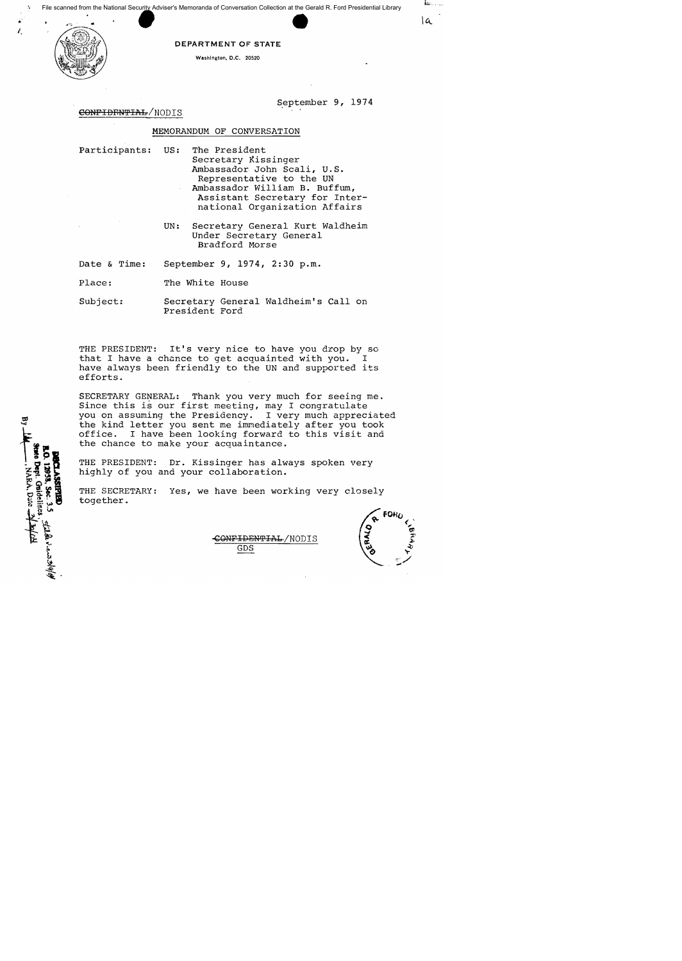File scanned from the National Secur<u>ity</u> Adviser's Memoranda of Conversation Collection at the Gerald R. Ford Presidential Library



Dept. Gnidelines NARA, Date

DEPARTMENT OF STATE

Washington, D.C. 20520

September 9, 1974

la.

## CONFIDENTIAL/NODIS

#### MEMORANDUM OF CONVERSATION

- participants: US: The President Secretary Kissinger Ambassador John Scali, U.S. Representative to the UN Ambassador William B. Buffum, Assistant Secretary for International Organization Affairs
	- UN: Secretary General Kurt Waldheim Under Secretary General Bradford Morse
- Date & Time: September 9, 1974, 2:30 p.m.
- Place: The White House
- Subject: Secretary General Waldheim's Call on President Ford

THE PRESIDENT: It's very nice to have you drop by so<br>that I have a chance to get acquainted with you. I that I have a chance to get acquainted with you. have always been friendly to the UN and supported its efforts.

SECRETARY GENERAL: Thank you very much for seeing me. Since this is our first meeting, may I congratulate you on assuming the Presidency. I very much appreciated the kind letter you sent me immediately after you took<br>office. I have been looking forward to this visit and I have been looking forward to this visit and the chance to make your acquaintance.

THE PRESIDENT: Dr. Kissinger has always spoken very highly of you and your collaboration.

THE SECRETARY: Yes, we have been working very closely together.



CONFIDENTIAL/NODIS GDS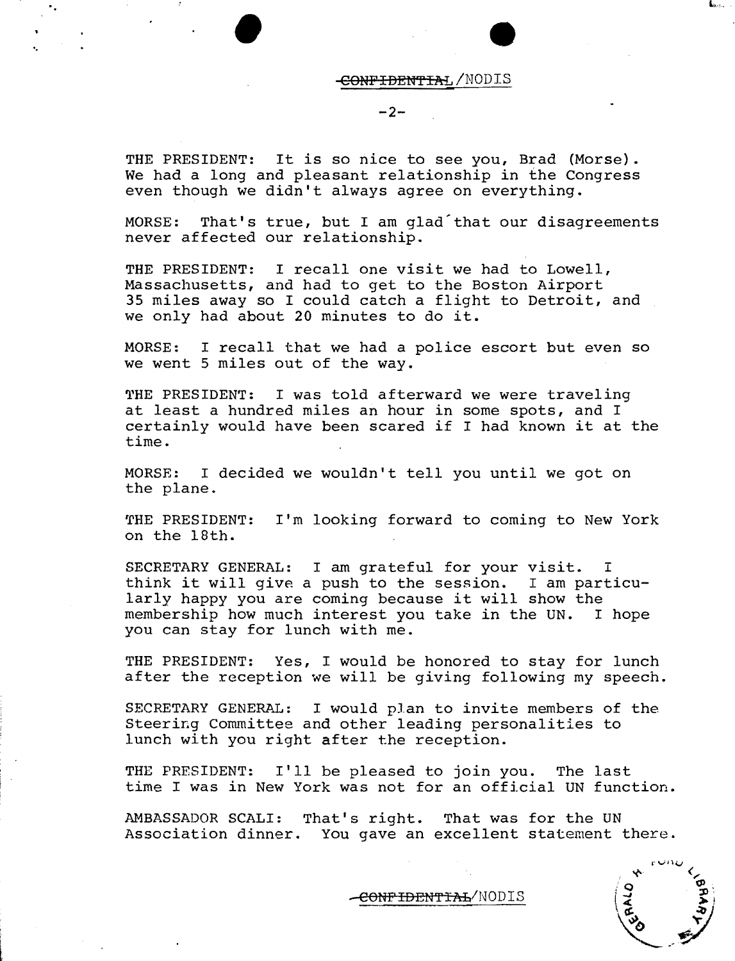CONFIDENTIAL/NODIS

**-2-**

THE PRESIDENT: It is so nice to see you, Brad (Morse). We had a long and pleasant relationship in the Congress even though we didn't always agree on everything.

•

"

L

MORSE: That's true, but I am glad that our disagreements never affected our relationship.

THE PRESIDENT: I recall one visit we had to Lowell, Massachusetts, and had to get to the Boston Airport 35 miles away so I could catch a flight to Detroit, and we only had about 20 minutes to do it.

MORSE: I recall that we had a police escort but even so we went 5 miles out of the way.

THE PRESIDENT: I was told afterward we were traveling at least a hundred miles an hour in some spots, and I certainly would have been scared if I had known it at the time.

MORSE: I decided we wouldn't tell you until we got on the plane.

THE PRESIDENT: 11m looking forward to coming to New York on the 18th.

SECRETARY GENERAL: I am grateful for your visit. I think it will give a push to the session. I am particularly happy you are coming because it will show the membership how much interest you take in the UN. I hope you can stay for lunch with me.

THE PRESIDENT: Yes, I would be honored to stay for lunch after the reception we will be giving following my speech.

SECRETARY GENERAL: I would plan to invite members of the Steering Committee and other leading personalities to lunch with you right after the reception.

THE PRESIDENT: I'll be pleased to join you. The last time I was in New York was not for an official UN function.

AMBASSADOR SCALI: That's right. That was for the UN Association dinner. You gave an excellent statement there.

L..".,

<del>CONPIDENTIAL</del>/NODIS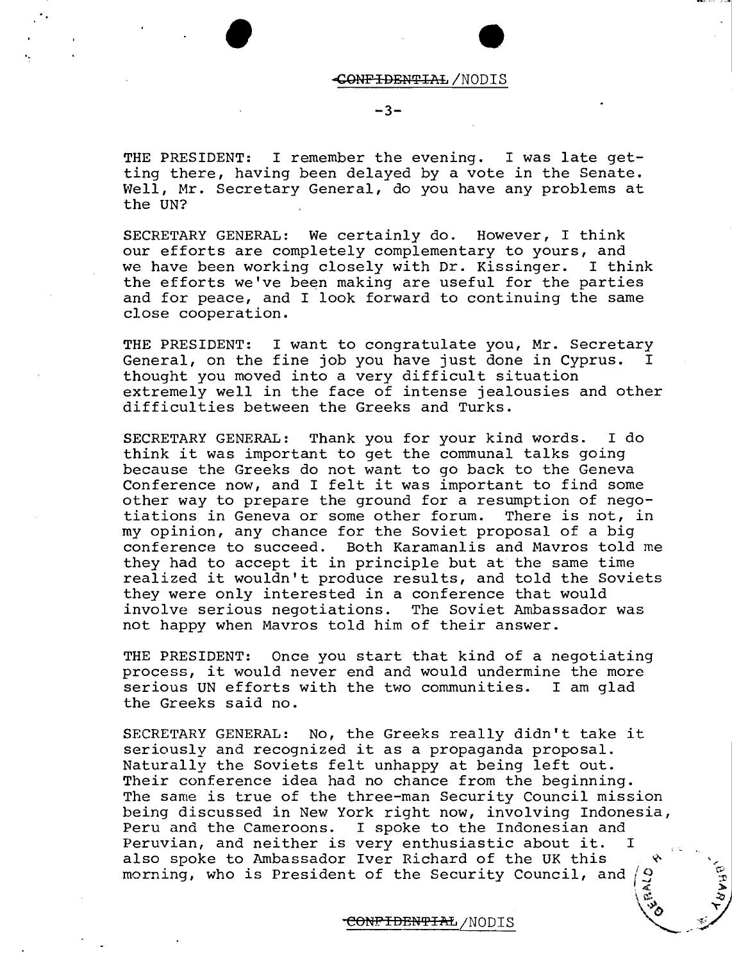#### <ONFIDENTIAL/NODIS

# $-3-$

'. •

THE PRESIDENT: I remember the evening. I was late getting there, having been delayed by a vote in the Senate. Well, Mr. Secretary General, do you have any problems at the UN?

SECRETARY GENERAL: We certainly do. However, I think our efforts are completely complementary to yours, and we have been working closely with Dr. Kissinger. I think the efforts we've been making are useful for the parties and for peace, and I look forward to continuing the same close cooperation.

THE PRESIDENT: I want to congratulate you, Mr. Secretary<br>General, on the fine iob you have iust done in Cyprus. I General, on the fine job you have just done in Cyprus. thought you moved into a very difficult situation extremely well in the face of intense jealousies and other difficulties between the Greeks and Turks.

SECRETARY GENERAL: Thank you for your kind words. I do think it was important to get the communal talks going because the Greeks do not want to go back to the Geneva Conference now, and I felt it was important to find some other way to prepare the ground for a resumption of negotiations in Geneva or some other forum. my opinion, any chance for the Soviet proposal of a big conference to succeed. Both Karamanlis and Mavros told me they had to accept it in principle but at the same time realized it wouldn't produce results, and told the Soviets they were only interested in a conference that would<br>involve serious negotiations. The Soviet Ambassador was involve serious negotiations. not happy when Mavros told him of their answer.

THE PRESIDENT: Once you start that kind of a negotiating process, it would never end and would undermine the more serious UN efforts with the two communities. I am glad the Greeks said no.

SECRETARY GENERAL: No, the Greeks really didn't take it seriously and recognized it as a propaganda proposal. Naturally the Soviets felt unhappy at being left out. Their conference idea had no chance from the beginning. The same is true of the three-man Security Council mission being discussed in New York right now, involving Indonesia, Peru and the Cameroons. I spoke to the Indonesian and Peruvian, and neither is very enthusiastic about it. I also spoke to Ambassador Iver Richard of the UK this Ý. morning, who is President of the Security Council, and  $\beta$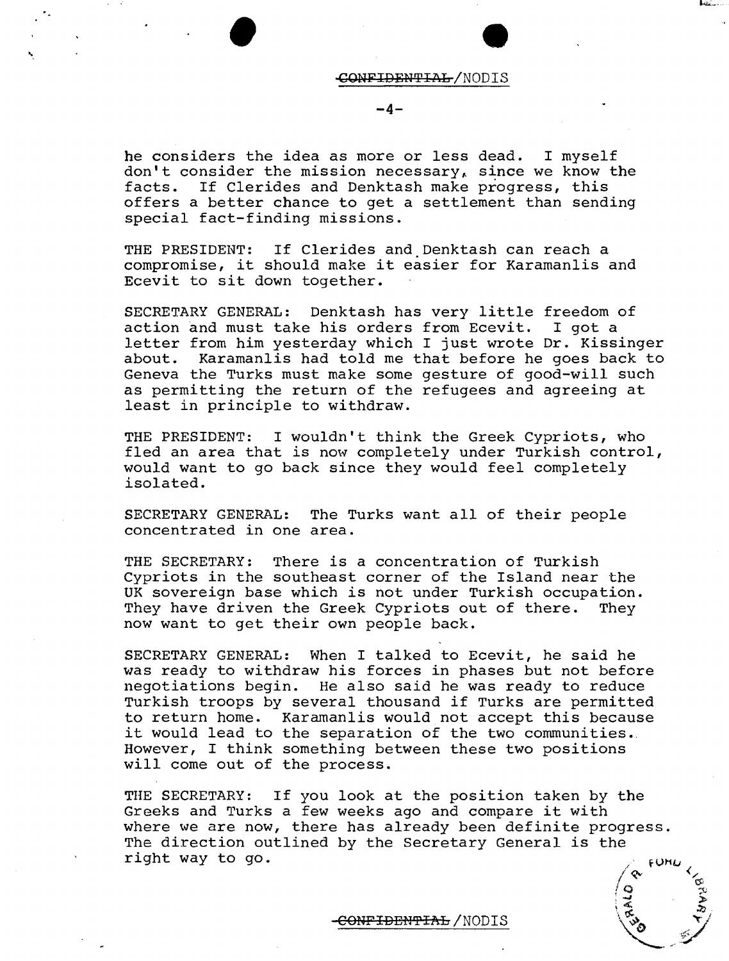

# • CONFIDENTIAL/NODIS

**-4-**

he considers the idea as more or less dead. I myself don't consider the mission necessary, since we know the facts. If Clerides and Denktash make progress, this offers a better chance to get a settlement than sending special fact-finding missions.

THE PRESIDENT: If Clerides and Denktash can reach a compromise, it should make it easier for Karamanlis and Ecevit to sit down together.

SECRETARY GENERAL: Denktash has very little freedom of action and must take his orders from Ecevit. I got a letter from him yesterday which I just wrote Dr. Kissinger Karamanlis had told me that before he goes back to Geneva the Turks must make some gesture of good-will such as permitting the return of the refugees and agreeing at least in principle to withdraw.

THE PRESIDENT: I wouldn't think the Greek Cypriots, who fled an area that is now completely under Turkish control, would want to go back since they would feel completely isolated.

SECRETARY GENERAL: The Turks want all of their people concentrated in one area.

THE SECRETARY: There is a concentration of Turkish Cypriots in the southeast corner of the Island near the UK sovereign base which is not under Turkish occupation.<br>They have driven the Greek Cypriots out of there. They They have driven the Greek Cypriots out of there. now want to get their own people back.

SECRETARY GENERAL: When I talked to Ecevit, he said he was ready to withdraw his forces in phases but not before negotiations begin. He also said he was ready to reduce Turkish troops by several thousand if Turks are permitted to return home. Karamanlis would not accept this because it would lead to the separation of the two communities. However, I think something between these two positions will come out of the process.

THE SECRETARY: If you look at the position taken by the Greeks and Turks a few weeks ago and compare it with where we are now, there has already been definite progress. The direction outlined by the Secretary General is the right way to go.

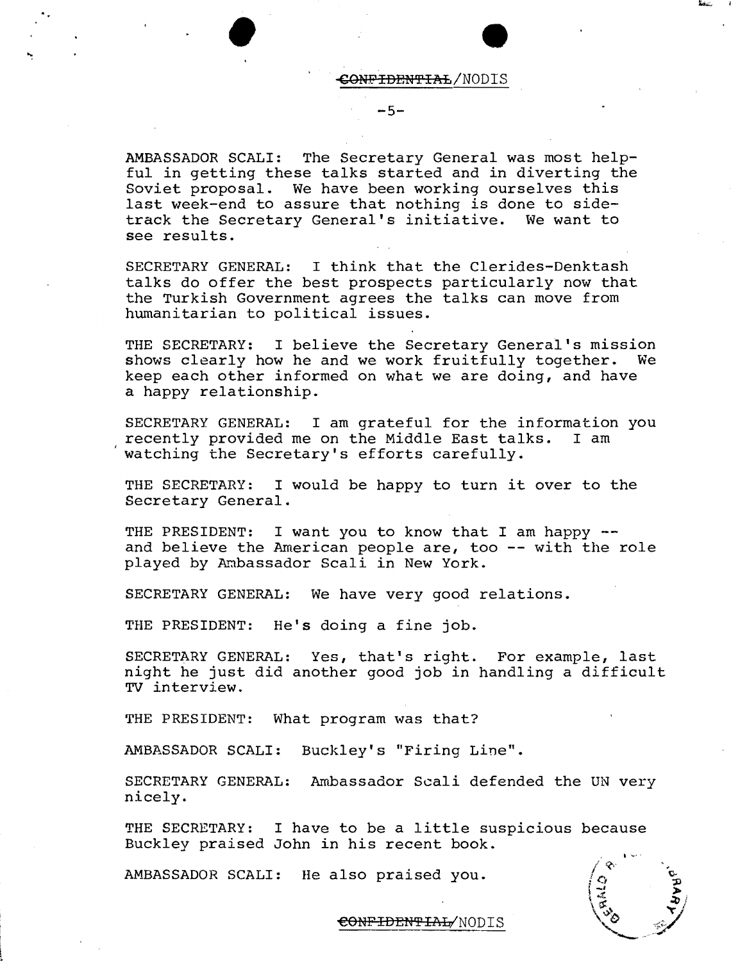• CONFIDENTIAL/NODIS

AMBASSADOR SCALI: The Secretary General was most helpful in getting these talks started and in diverting the Soviet proposal. We have been working ourselves this last week-end to assure that nothing is done to side-<br>track the Secretary General's initiative. We want to track the Secretary General's initiative. see results.

 $-5-$ 

SECRETARY GENERAL: I think that the Clerides-Denktash talks do offer the best prospects particularly now that the Turkish Government agrees the talks can move from humanitarian to political issues.

THE SECRETARY: I believe the Secretary General's mission<br>shows clearly how he and we work fruitfully together. We shows clearly how he and we work fruitfully together. keep each other informed on what we are doing, and have a happy relationship.

SECRETARY GENERAL: I am grateful for the information you recently provided me on the Middle East talks. I am recently provided me on the Middle East talks. watching the Secretary's efforts carefully.

THE SECRETARY: I would be happy to turn it over to the Secretary General.

THE PRESIDENT: I want you to know that I am happy -and believe the American people are, too -- with the role played by Ambassador Scali in New York.

SECRETARY GENERAL: We have very good relations.

THE PRESIDENT: He's doing a fine job.

SECRETARY GENERAL: Yes, that's right. For example, last night he just did another good job in handling a difficult TV interview.

THE PRESIDENT: What program was that?

AMBASSADOR SCALI: Buckley's "Firing Line".

SECRETARY GENERAL: Ambassador Scali defended the UN very nicely.

THE SECRETARY: I have to be a little suspicious because Buckley praised John in his recent book.

AMBASSADOR SCALI: He also praised you.



€ONFIDEN'i'IAL/NODIS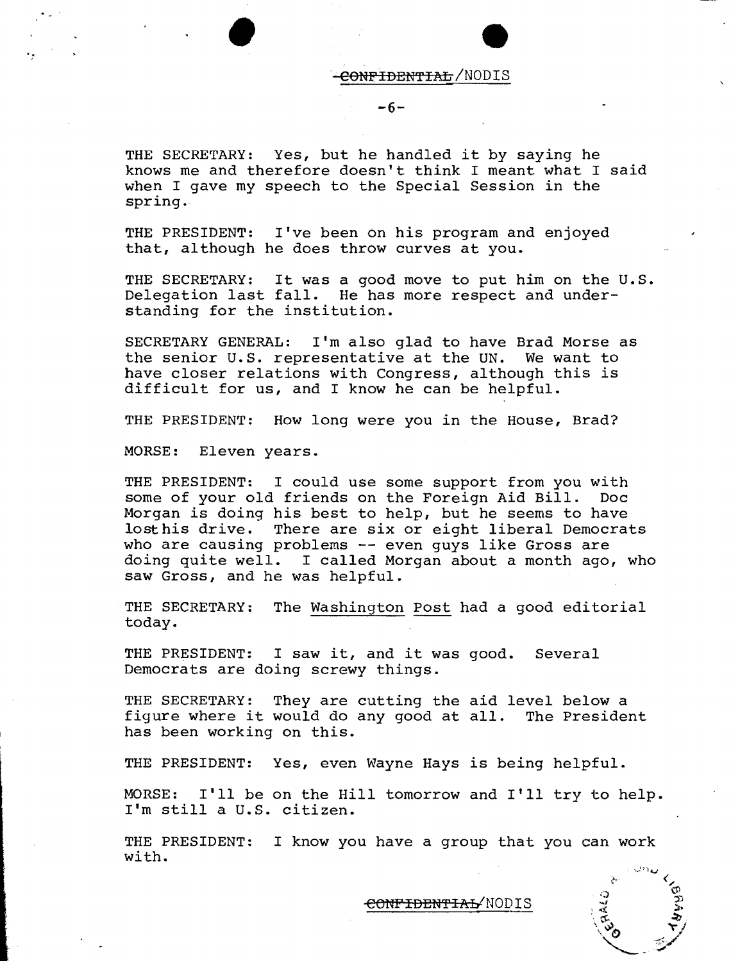<del>CONPIDENTIAL</del>/NODIS

 $-6-$ 

THE SECRETARY: Yes, but he handled it by saying he knows me and therefore doesn't think I meant what I said when I gave my speech to the Special Session in the spring.

THE PRESIDENT: I've been on his program and enjoyed that, although he does throw curves at you.

THE SECRETARY: It was a good move to put him on the U.S. Delegation last fall. He has more respect and understanding for the institution.

SECRETARY GENERAL: I'm also glad to have Brad Morse as the senior U.S. representative at the UN. We want to have closer relations with Congress, although this is difficult for us, and I know he can be helpful.

THE PRESIDENT: How long were you in the House, Brad?

MORSE: Eleven years.

•

THE PRESIDENT: I could use some support from you with some of your old friends on the Foreign Aid Bill. Doc Morgan is doing his best to help, but he seems to have lost his drive. There are six or eight liberal Democrats who are causing problems -- even guys like Gross are doing quite well. I called Morgan about a month ago, who saw Gross, and he was helpful.

THE SECRETARY: The Washington Post had a good editorial today.

THE PRESIDENT: I saw it, and it was good. Several Democrats are doing screwy things.

THE SECRETARY: They are cutting the aid level below a figure where it would do any good at all. The President has been working on this.

THE PRESIDENT: Yes, even Wayne Hays is being helpful.

MORSE: I'll be on the Hill tomorrow and I'll try to help. I'm still a U.S. citizen.

THE PRESIDENT: I know you have a group that you can work with.

<del>CONFIDENTIAL</del>/NODIS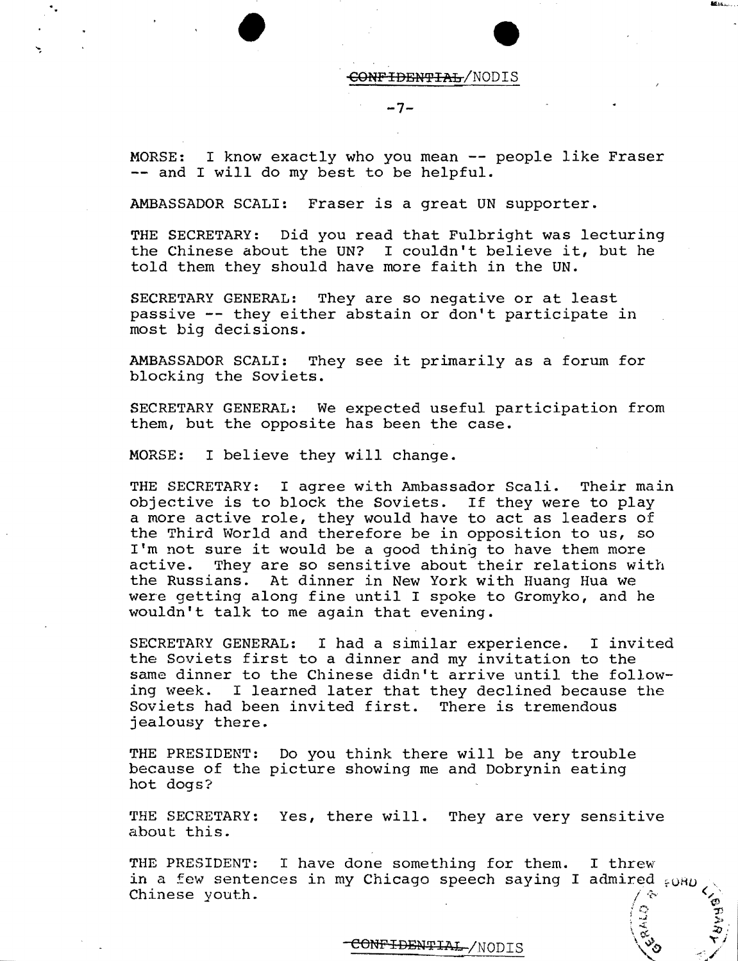$\overline{\text{COMF4DBWFTAL}}/\text{NODIS}$ 

 $-7-$ 

MORSE: I know exactly who you mean -- people like Fraser -- and I will do my best to be helpful.

AMBASSADOR SCALI: Fraser is a great UN supporter.

THE SECRETARY: Did you read that Fulbright was lecturing the Chinese about the UN? I couldn't believe it, but he told them they should have more faith in the UN.

SECRETARY GENERAL: They are so negative or at least passive -- they either abstain or don't participate in most big decisions.

AMBASSADOR SCALI: They see it primarily as a forum for blocking the Soviets.

SECRETARY GENERAL: We expected useful participation from them, but the opposite has been the case.

MORSE: I believe they will change.

•

THE SECRETARY: I agree with Ambassador Scali. Their main objective is to block the Soviets. If they were to play a more active role, they would have to act as leaders of the Third World and therefore be in opposition to us, so I'm not sure it would be a good thing to have them more active. They are so sensitive about their relations wit They are so sensitive about their relations with the Russians. At dinner in New York with Huang Hua we were getting along fine until I spoke to Gromyko, and he wouldn't talk to me again that evening.

SECRETARY GENERAL: I had a similar experience. I invited the Soviets first to a dinner and my invitation to the same dinner to the Chinese didn't arrive until the following week. I learned later that they declined because the Soviets had been invited first. There is tremendous jealousy there.

THE PRESIDENT: Do you think there will be any trouble because of the picture showing me and Dobrynin eating hot dogs?

THE SECRETARY: Yes, there will. They are very sensitive about this.

THE PRESIDENT: I have done something for them. I threw in a few sentences in my Chicago speech saying I admired  $_{6}$ OH<sub>D</sub> Chinese youth.  $\sqrt{x}$ 

CONFIDENTIAL-/NODIS

 $\circ$  :  $\tau$ 

 $\sum_{i=1}^n$  $z_{0}$  : ~j "c /'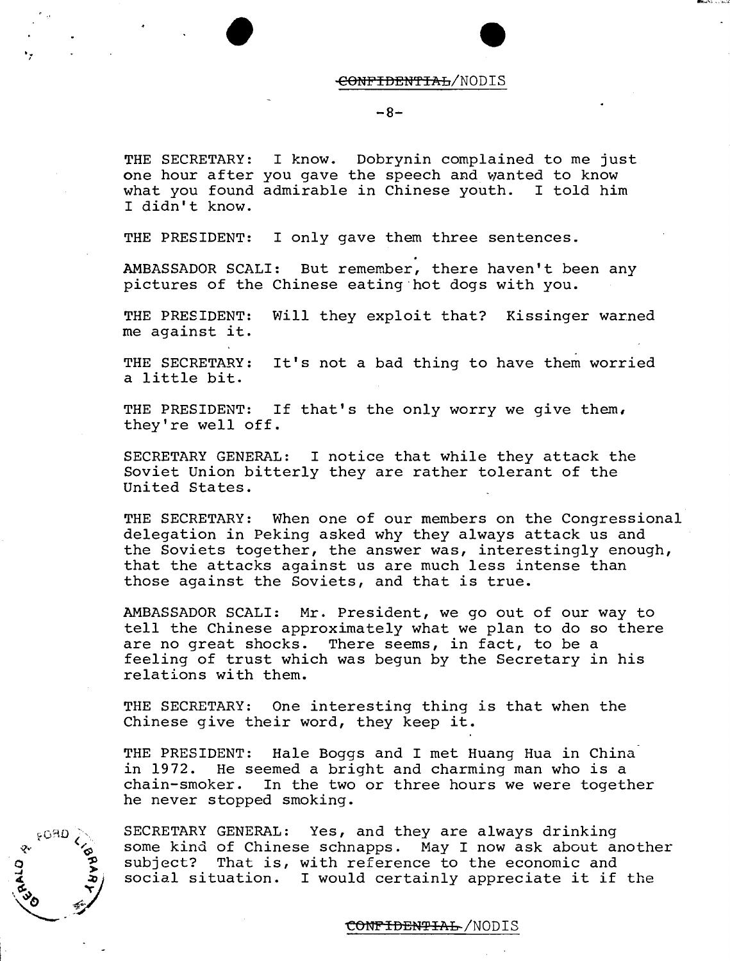#### <del>CONFIDENTIAL</del>/NODIS

#### -8-

THE SECRETARY: I know. Dobrynin complained to me just one hour after you gave the speech and wanted to know what you found admirable in Chinese youth. I told him I didn't know.

THE PRESIDENT: I only gave them three sentences.

'; •

**CRO** 

AMBASSADOR SCALI: But remember, there haven't been any pictures of the Chinese eating 'hot dogs with you.

THE PRESIDENT: Will they exploit that? Kissinger warned me against it.

THE SECRETARY: It's not a bad thing to have them worried a little bit.

THE PRESIDENT: If that's the only worry we give them, they're well off.

SECRETARY GENERAL: I notice that while they attack the Soviet Union bitterly they are rather tolerant of the United States.

THE SECRETARY: When one of our members on the Congressional delegation in Peking asked why they always attack us and the Soviets together, the answer was, interestingly enough, that the attacks against us are much less intense than those against the Soviets, and that is true.

AMBASSADOR SCALI: Mr. President, we go out of our way to tell the Chinese approximately what we plan to do so there are no great shocks. There seems, in fact, to be a feeling of trust which was begun by the Secretary in his relations with them.

THE SECRETARY: One interesting thing is that when the Chinese give their word, they keep it.

THE PRESIDENT: Hale Boggs and I met Huang Hua in China in 1972. He seemed a bright and charming man who is a chain-smoker. In the two or three hours we were together he never stopped smoking.



<del>CONFIDENTIAL</del>/NODIS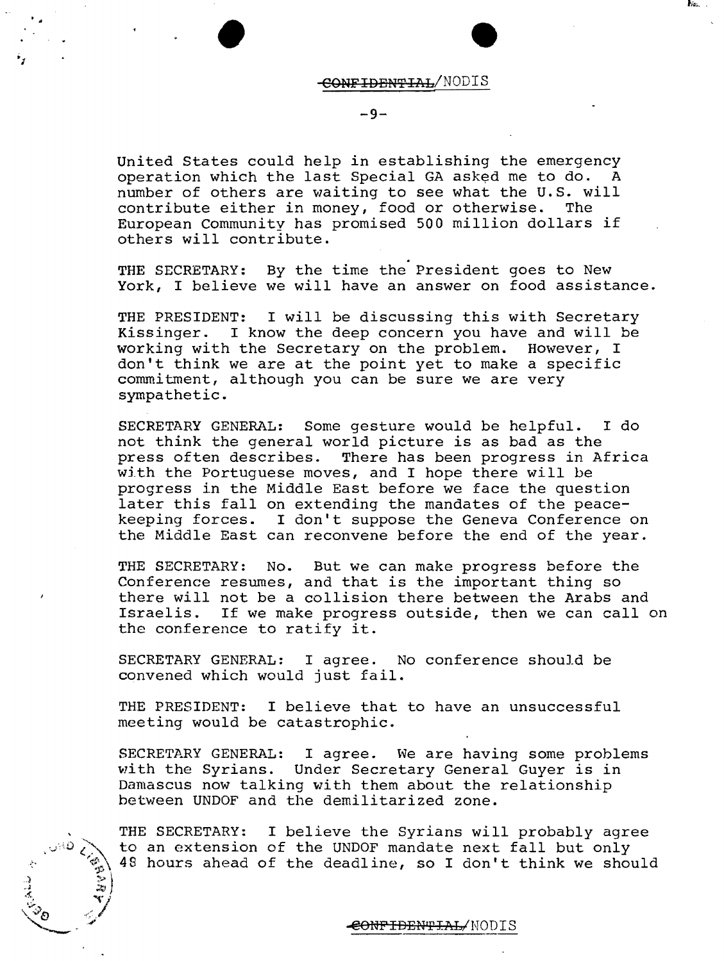

Print, 1988

#### $-9-$

United States could help in establishing the emergency<br>operation which the last Special GA asked me to do. A operation which the last Special GA asked me to do. number of others are waiting to see what the U.S. will contribute either in money. food or otherwise. The contribute either in money, food or otherwise. European Community has promised 500 million dollars if others will contribute.

THE SECRETARY: By the time the President goes to New York, I believe we will have an answer on food assistance.

THE PRESIDENT: I will be discussing this with Secretary Kissinger. I know the deep concern you have and will be working with the Secretary on the problem. However, I don't think we are at the point yet to make a specific commitment, although you can be sure we are very sympathetic.

SECRETARY GENERAL: Some gesture would be helpful. I do not think the general world picture is as bad as the press often describes. There has been progress in Africa with the Portuguese moves, and I hope there will be progress in the Middle East before we face the question later this fall on extending the mandates of the peacekeeping forces. I don't suppose the Geneva Conference on the Middle East can reconvene before the end of the year.

THE SECRETARY: No. But we can make progress before the Conference resumes, and that is the important thing so there will not be a collision there between the Arabs and Israelis. If we make progress outside, then we can calIon the conference to ratify it.

SECRETARY GENERAL: I agree. No conference should be convened which would just fail.

THE PRESIDENT: I believe that to have an unsuccessful meeting would be catastrophic.

SECRETARY GENERAL: I agree. We are having some problems with the Syrians. Under Secretary General Guyer is in Damascus now talking with them about the relationship between UNDOF and the demilitarized zone.

THE SECRETARY: I believe the Syrians will probably agree to an extension of the UNDOF mandate next fall but only 48 hours ahead of the deadline, so I don't think we should

 $\frac{1}{4}$  ...  $\frac{1}{4}$  $\mathscr{E}_{\delta}$  :  $\mathscr{E}$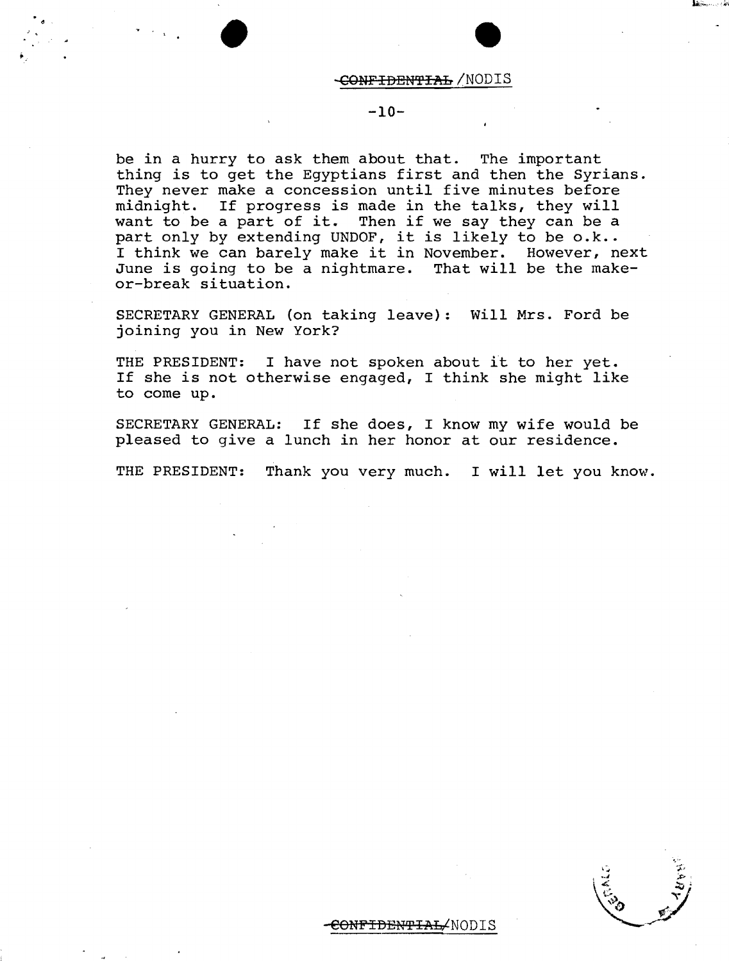# , , • • <del>CONFIDENTIAL</del> /NODIS

## -10-

be in a hurry to ask them about that. The important thing is to get the Egyptians first and then the Syrians. They never make a concession until five minutes before midnight. If progress is made in the talks, they will want to be a part of it. Then if we say they can be a part only by extending UNDOF, it is likely to be o.k.. I think we can barely make it in November. However, next June is going to be a nightmare. That will be the makeor-break situation.

SECRETARY GENERAL (on taking leave): Will Mrs. Ford be joining you in New York?

THE PRESIDENT: I have not spoken about it to her yet. If she is not otherwise engaged, I think she might like to come up.

SECRETARY GENERAL: If she does, I know my wife would be pleased to give a lunch in her honor at our residence.

THE PRESIDENT: Thank you very much. I will let you know.

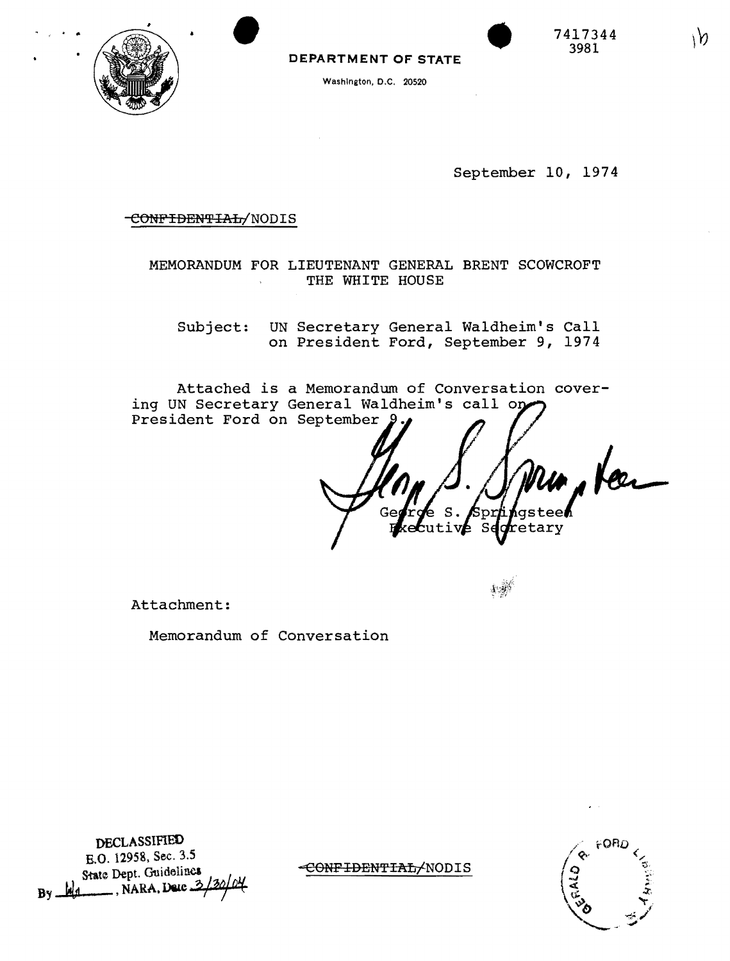

١n

DEPARTMENT OF STATE

Washington, D.C. 20520



September 10, 1974

#### CONFIDENTIAL/NODIS

MEMORANDUM FOR LIEUTENANT GENERAL BRENT SCOWCROFT THE WHITE HOUSE

UN Secretary General Waldheim's Call Subject: on President Ford, September 9, 1974

Attached is a Memorandum of Conversation covering UN Secretary General Waldheim's call or President Ford on September 9

Spr  $n$ tive  $\bar{s}$ retary

Attachment:

Memorandum of Conversation

DECLASSIFIED E.O. 12958, Sec. 3.5 State Dept. Guidelines By  $M_1$ , NARA, Dete 3

CONFIDENTIAL/NODIS